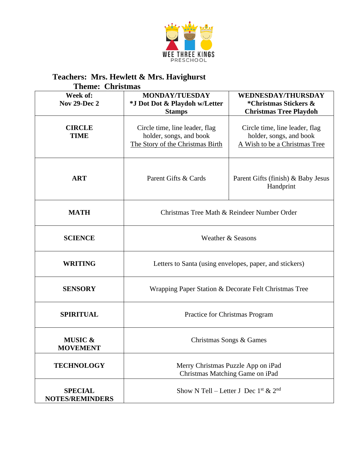

## **Teachers: Mrs. Hewlett & Mrs. Havighurst**

| <b>Theme: Christmas</b>                  |                                                                                               |                                                                                            |  |
|------------------------------------------|-----------------------------------------------------------------------------------------------|--------------------------------------------------------------------------------------------|--|
| Week of:<br><b>Nov 29-Dec 2</b>          | <b>MONDAY/TUESDAY</b><br>*J Dot Dot & Playdoh w/Letter<br><b>Stamps</b>                       | <b>WEDNESDAY/THURSDAY</b><br>*Christmas Stickers &<br><b>Christmas Tree Playdoh</b>        |  |
| <b>CIRCLE</b><br><b>TIME</b>             | Circle time, line leader, flag<br>holder, songs, and book<br>The Story of the Christmas Birth | Circle time, line leader, flag<br>holder, songs, and book<br>A Wish to be a Christmas Tree |  |
| <b>ART</b>                               | Parent Gifts & Cards                                                                          | Parent Gifts (finish) & Baby Jesus<br>Handprint                                            |  |
| <b>MATH</b>                              | Christmas Tree Math & Reindeer Number Order                                                   |                                                                                            |  |
| <b>SCIENCE</b>                           | Weather & Seasons                                                                             |                                                                                            |  |
| <b>WRITING</b>                           | Letters to Santa (using envelopes, paper, and stickers)                                       |                                                                                            |  |
| <b>SENSORY</b>                           | Wrapping Paper Station & Decorate Felt Christmas Tree                                         |                                                                                            |  |
| <b>SPIRITUAL</b>                         | Practice for Christmas Program                                                                |                                                                                            |  |
| <b>MUSIC &amp;</b><br><b>MOVEMENT</b>    | Christmas Songs & Games                                                                       |                                                                                            |  |
| <b>TECHNOLOGY</b>                        | Merry Christmas Puzzle App on iPad<br>Christmas Matching Game on iPad                         |                                                                                            |  |
| <b>SPECIAL</b><br><b>NOTES/REMINDERS</b> | Show N Tell – Letter J Dec $1^{\text{st}}$ & $2^{\text{nd}}$                                  |                                                                                            |  |